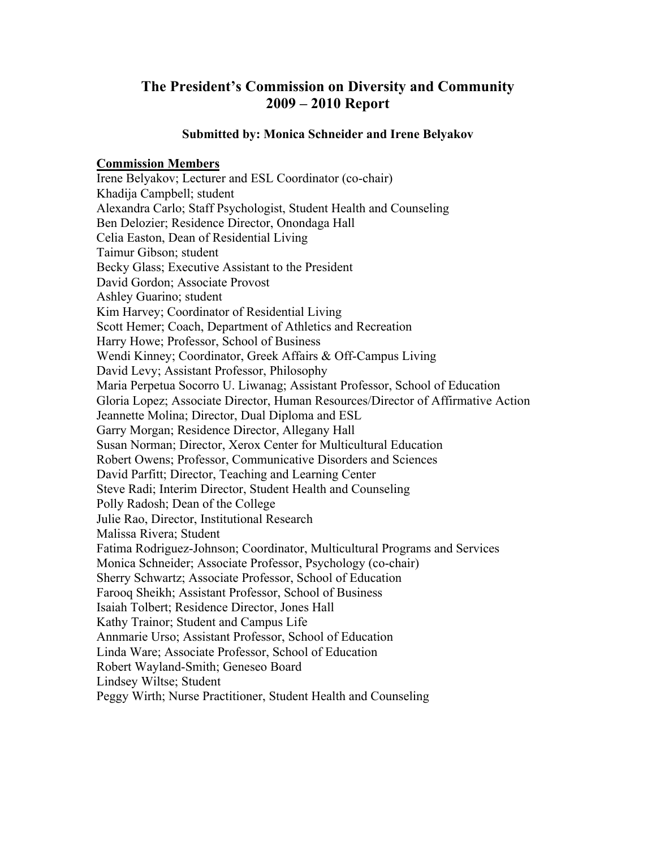# **The President's Commission on Diversity and Community 2009 – 2010 Report**

#### **Submitted by: Monica Schneider and Irene Belyakov**

### **Commission Members**

Irene Belyakov; Lecturer and ESL Coordinator (co-chair) Khadija Campbell; student Alexandra Carlo; Staff Psychologist, Student Health and Counseling Ben Delozier; Residence Director, Onondaga Hall Celia Easton, Dean of Residential Living Taimur Gibson; student Becky Glass; Executive Assistant to the President David Gordon; Associate Provost Ashley Guarino; student Kim Harvey; Coordinator of Residential Living Scott Hemer; Coach, Department of Athletics and Recreation Harry Howe; Professor, School of Business Wendi Kinney; Coordinator, Greek Affairs & Off-Campus Living David Levy; Assistant Professor, Philosophy Maria Perpetua Socorro U. Liwanag; Assistant Professor, School of Education Gloria Lopez; Associate Director, Human Resources/Director of Affirmative Action Jeannette Molina; Director, Dual Diploma and ESL Garry Morgan; Residence Director, Allegany Hall Susan Norman; Director, Xerox Center for Multicultural Education Robert Owens; Professor, Communicative Disorders and Sciences David Parfitt; Director, Teaching and Learning Center Steve Radi; Interim Director, Student Health and Counseling Polly Radosh; Dean of the College Julie Rao, Director, Institutional Research Malissa Rivera; Student Fatima Rodriguez-Johnson; Coordinator, Multicultural Programs and Services Monica Schneider; Associate Professor, Psychology (co-chair) Sherry Schwartz; Associate Professor, School of Education Farooq Sheikh; Assistant Professor, School of Business Isaiah Tolbert; Residence Director, Jones Hall Kathy Trainor; Student and Campus Life Annmarie Urso; Assistant Professor, School of Education Linda Ware; Associate Professor, School of Education Robert Wayland-Smith; Geneseo Board Lindsey Wiltse; Student Peggy Wirth; Nurse Practitioner, Student Health and Counseling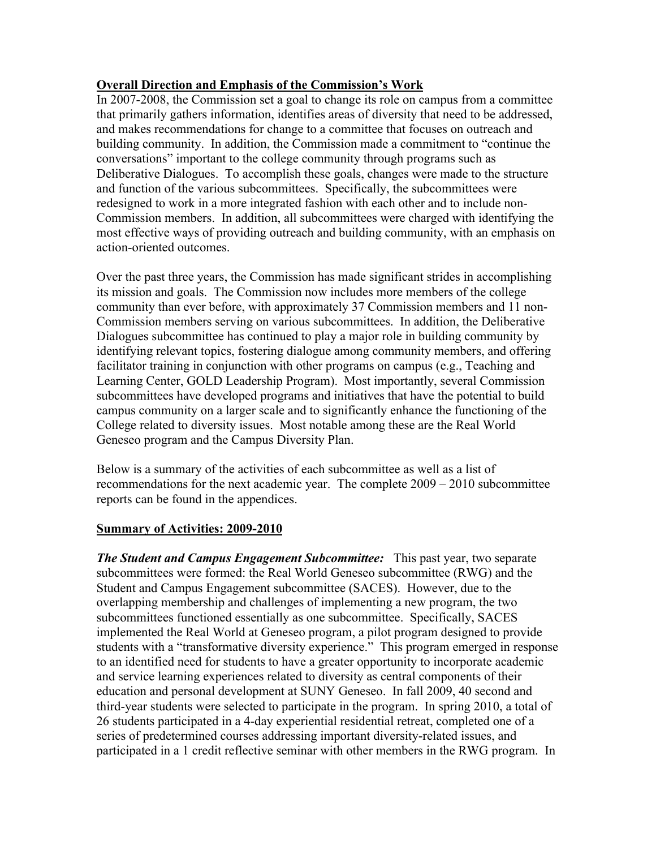## **Overall Direction and Emphasis of the Commission's Work**

In 2007-2008, the Commission set a goal to change its role on campus from a committee that primarily gathers information, identifies areas of diversity that need to be addressed, and makes recommendations for change to a committee that focuses on outreach and building community. In addition, the Commission made a commitment to "continue the conversations" important to the college community through programs such as Deliberative Dialogues. To accomplish these goals, changes were made to the structure and function of the various subcommittees. Specifically, the subcommittees were redesigned to work in a more integrated fashion with each other and to include non-Commission members. In addition, all subcommittees were charged with identifying the most effective ways of providing outreach and building community, with an emphasis on action-oriented outcomes.

Over the past three years, the Commission has made significant strides in accomplishing its mission and goals. The Commission now includes more members of the college community than ever before, with approximately 37 Commission members and 11 non-Commission members serving on various subcommittees. In addition, the Deliberative Dialogues subcommittee has continued to play a major role in building community by identifying relevant topics, fostering dialogue among community members, and offering facilitator training in conjunction with other programs on campus (e.g., Teaching and Learning Center, GOLD Leadership Program). Most importantly, several Commission subcommittees have developed programs and initiatives that have the potential to build campus community on a larger scale and to significantly enhance the functioning of the College related to diversity issues. Most notable among these are the Real World Geneseo program and the Campus Diversity Plan.

Below is a summary of the activities of each subcommittee as well as a list of recommendations for the next academic year. The complete 2009 – 2010 subcommittee reports can be found in the appendices.

#### **Summary of Activities: 2009-2010**

*The Student and Campus Engagement Subcommittee:* This past year, two separate subcommittees were formed: the Real World Geneseo subcommittee (RWG) and the Student and Campus Engagement subcommittee (SACES). However, due to the overlapping membership and challenges of implementing a new program, the two subcommittees functioned essentially as one subcommittee. Specifically, SACES implemented the Real World at Geneseo program, a pilot program designed to provide students with a "transformative diversity experience." This program emerged in response to an identified need for students to have a greater opportunity to incorporate academic and service learning experiences related to diversity as central components of their education and personal development at SUNY Geneseo. In fall 2009, 40 second and third-year students were selected to participate in the program. In spring 2010, a total of 26 students participated in a 4-day experiential residential retreat, completed one of a series of predetermined courses addressing important diversity-related issues, and participated in a 1 credit reflective seminar with other members in the RWG program. In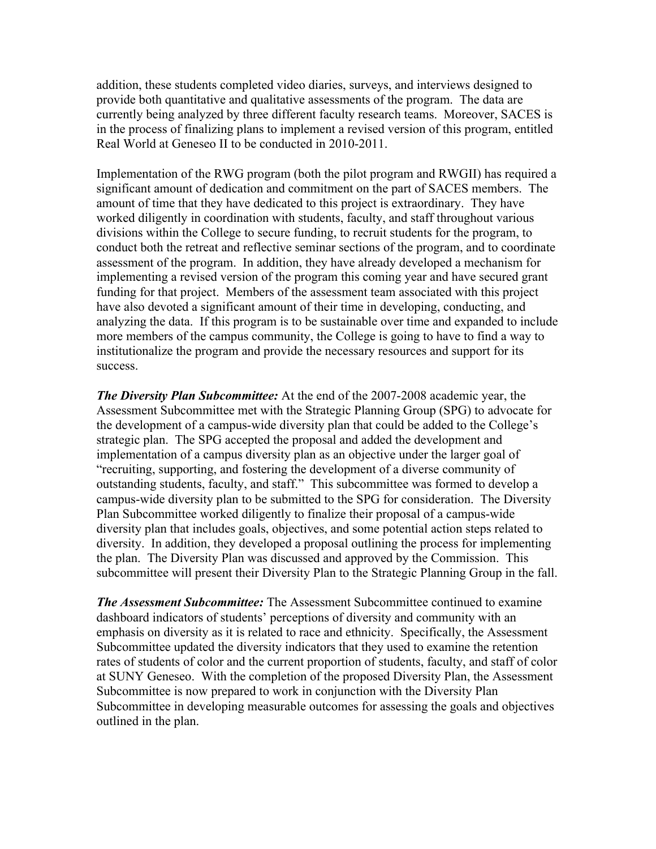addition, these students completed video diaries, surveys, and interviews designed to provide both quantitative and qualitative assessments of the program. The data are currently being analyzed by three different faculty research teams. Moreover, SACES is in the process of finalizing plans to implement a revised version of this program, entitled Real World at Geneseo II to be conducted in 2010-2011.

Implementation of the RWG program (both the pilot program and RWGII) has required a significant amount of dedication and commitment on the part of SACES members. The amount of time that they have dedicated to this project is extraordinary. They have worked diligently in coordination with students, faculty, and staff throughout various divisions within the College to secure funding, to recruit students for the program, to conduct both the retreat and reflective seminar sections of the program, and to coordinate assessment of the program. In addition, they have already developed a mechanism for implementing a revised version of the program this coming year and have secured grant funding for that project. Members of the assessment team associated with this project have also devoted a significant amount of their time in developing, conducting, and analyzing the data. If this program is to be sustainable over time and expanded to include more members of the campus community, the College is going to have to find a way to institutionalize the program and provide the necessary resources and support for its success.

*The Diversity Plan Subcommittee:* At the end of the 2007-2008 academic year, the Assessment Subcommittee met with the Strategic Planning Group (SPG) to advocate for the development of a campus-wide diversity plan that could be added to the College's strategic plan. The SPG accepted the proposal and added the development and implementation of a campus diversity plan as an objective under the larger goal of "recruiting, supporting, and fostering the development of a diverse community of outstanding students, faculty, and staff." This subcommittee was formed to develop a campus-wide diversity plan to be submitted to the SPG for consideration. The Diversity Plan Subcommittee worked diligently to finalize their proposal of a campus-wide diversity plan that includes goals, objectives, and some potential action steps related to diversity. In addition, they developed a proposal outlining the process for implementing the plan. The Diversity Plan was discussed and approved by the Commission. This subcommittee will present their Diversity Plan to the Strategic Planning Group in the fall.

*The Assessment Subcommittee:* The Assessment Subcommittee continued to examine dashboard indicators of students' perceptions of diversity and community with an emphasis on diversity as it is related to race and ethnicity. Specifically, the Assessment Subcommittee updated the diversity indicators that they used to examine the retention rates of students of color and the current proportion of students, faculty, and staff of color at SUNY Geneseo. With the completion of the proposed Diversity Plan, the Assessment Subcommittee is now prepared to work in conjunction with the Diversity Plan Subcommittee in developing measurable outcomes for assessing the goals and objectives outlined in the plan.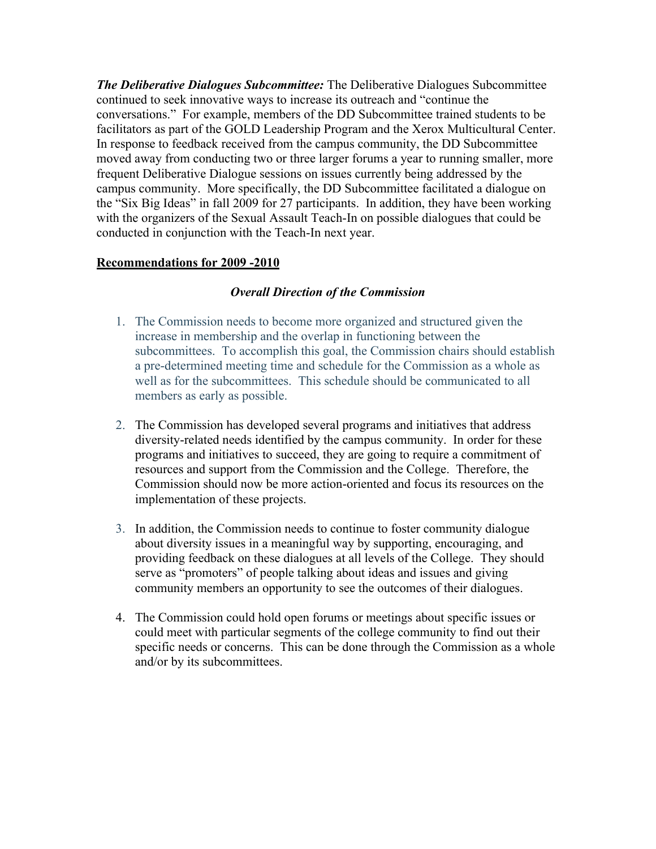*The Deliberative Dialogues Subcommittee:* The Deliberative Dialogues Subcommittee continued to seek innovative ways to increase its outreach and "continue the conversations." For example, members of the DD Subcommittee trained students to be facilitators as part of the GOLD Leadership Program and the Xerox Multicultural Center. In response to feedback received from the campus community, the DD Subcommittee moved away from conducting two or three larger forums a year to running smaller, more frequent Deliberative Dialogue sessions on issues currently being addressed by the campus community. More specifically, the DD Subcommittee facilitated a dialogue on the "Six Big Ideas" in fall 2009 for 27 participants. In addition, they have been working with the organizers of the Sexual Assault Teach-In on possible dialogues that could be conducted in conjunction with the Teach-In next year.

# **Recommendations for 2009 -2010**

# *Overall Direction of the Commission*

- 1. The Commission needs to become more organized and structured given the increase in membership and the overlap in functioning between the subcommittees. To accomplish this goal, the Commission chairs should establish a pre-determined meeting time and schedule for the Commission as a whole as well as for the subcommittees. This schedule should be communicated to all members as early as possible.
- 2. The Commission has developed several programs and initiatives that address diversity-related needs identified by the campus community. In order for these programs and initiatives to succeed, they are going to require a commitment of resources and support from the Commission and the College. Therefore, the Commission should now be more action-oriented and focus its resources on the implementation of these projects.
- 3. In addition, the Commission needs to continue to foster community dialogue about diversity issues in a meaningful way by supporting, encouraging, and providing feedback on these dialogues at all levels of the College. They should serve as "promoters" of people talking about ideas and issues and giving community members an opportunity to see the outcomes of their dialogues.
- 4. The Commission could hold open forums or meetings about specific issues or could meet with particular segments of the college community to find out their specific needs or concerns. This can be done through the Commission as a whole and/or by its subcommittees.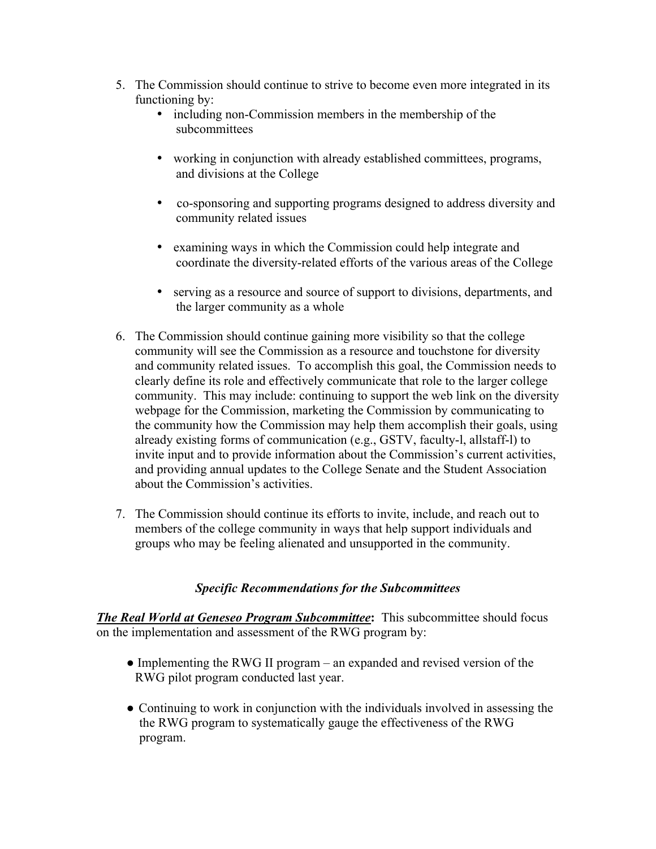- 5. The Commission should continue to strive to become even more integrated in its functioning by:
	- including non-Commission members in the membership of the subcommittees
	- working in conjunction with already established committees, programs, and divisions at the College
	- co-sponsoring and supporting programs designed to address diversity and community related issues
	- examining ways in which the Commission could help integrate and coordinate the diversity-related efforts of the various areas of the College
	- serving as a resource and source of support to divisions, departments, and the larger community as a whole
- 6. The Commission should continue gaining more visibility so that the college community will see the Commission as a resource and touchstone for diversity and community related issues. To accomplish this goal, the Commission needs to clearly define its role and effectively communicate that role to the larger college community. This may include: continuing to support the web link on the diversity webpage for the Commission, marketing the Commission by communicating to the community how the Commission may help them accomplish their goals, using already existing forms of communication (e.g., GSTV, faculty-l, allstaff-l) to invite input and to provide information about the Commission's current activities, and providing annual updates to the College Senate and the Student Association about the Commission's activities.
- 7. The Commission should continue its efforts to invite, include, and reach out to members of the college community in ways that help support individuals and groups who may be feeling alienated and unsupported in the community.

# *Specific Recommendations for the Subcommittees*

*The Real World at Geneseo Program Subcommittee***:** This subcommittee should focus on the implementation and assessment of the RWG program by:

- ! Implementing the RWG II program an expanded and revised version of the RWG pilot program conducted last year.
- Continuing to work in conjunction with the individuals involved in assessing the the RWG program to systematically gauge the effectiveness of the RWG program.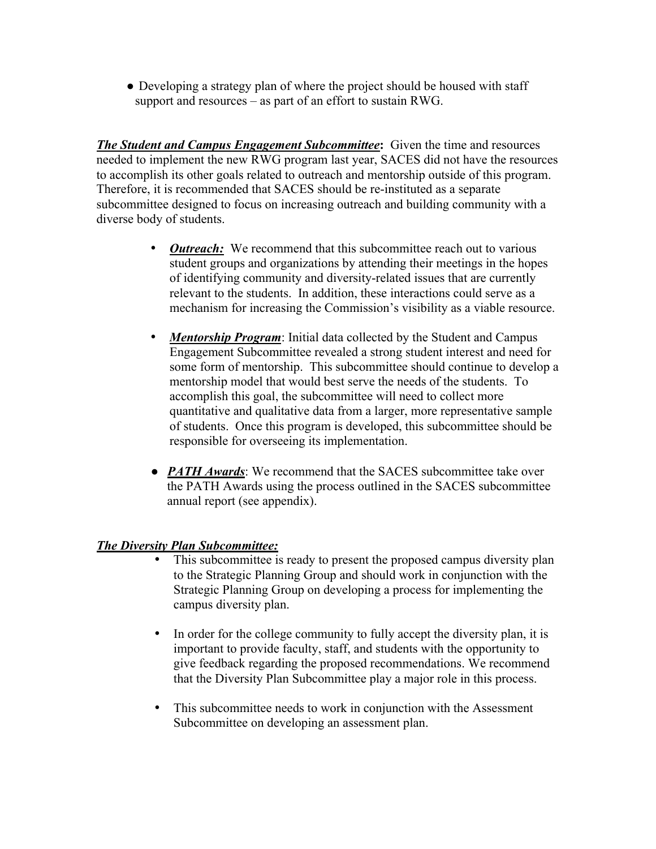• Developing a strategy plan of where the project should be housed with staff support and resources – as part of an effort to sustain RWG.

*The Student and Campus Engagement Subcommittee***:** Given the time and resources needed to implement the new RWG program last year, SACES did not have the resources to accomplish its other goals related to outreach and mentorship outside of this program. Therefore, it is recommended that SACES should be re-instituted as a separate subcommittee designed to focus on increasing outreach and building community with a diverse body of students.

- *Outreach:* We recommend that this subcommittee reach out to various student groups and organizations by attending their meetings in the hopes of identifying community and diversity-related issues that are currently relevant to the students. In addition, these interactions could serve as a mechanism for increasing the Commission's visibility as a viable resource.
- *Mentorship Program*: Initial data collected by the Student and Campus Engagement Subcommittee revealed a strong student interest and need for some form of mentorship. This subcommittee should continue to develop a mentorship model that would best serve the needs of the students. To accomplish this goal, the subcommittee will need to collect more quantitative and qualitative data from a larger, more representative sample of students. Once this program is developed, this subcommittee should be responsible for overseeing its implementation.
- *PATH Awards*: We recommend that the SACES subcommittee take over the PATH Awards using the process outlined in the SACES subcommittee annual report (see appendix).

# *The Diversity Plan Subcommittee:*

- This subcommittee is ready to present the proposed campus diversity plan to the Strategic Planning Group and should work in conjunction with the Strategic Planning Group on developing a process for implementing the campus diversity plan.
- In order for the college community to fully accept the diversity plan, it is important to provide faculty, staff, and students with the opportunity to give feedback regarding the proposed recommendations. We recommend that the Diversity Plan Subcommittee play a major role in this process.
- This subcommittee needs to work in conjunction with the Assessment Subcommittee on developing an assessment plan.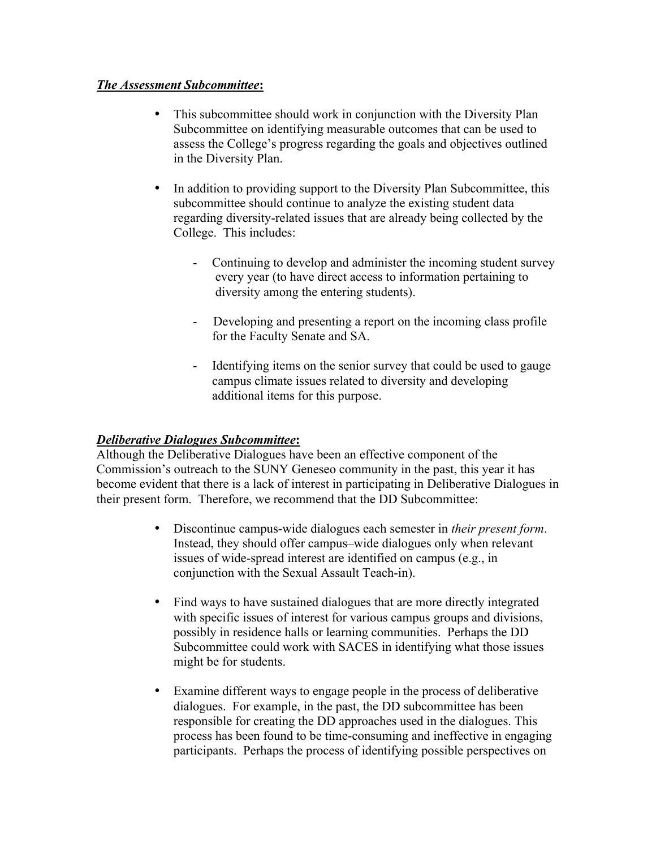# *The Assessment Subcommittee***:**

- This subcommittee should work in conjunction with the Diversity Plan Subcommittee on identifying measurable outcomes that can be used to assess the College's progress regarding the goals and objectives outlined in the Diversity Plan.
- In addition to providing support to the Diversity Plan Subcommittee, this subcommittee should continue to analyze the existing student data regarding diversity-related issues that are already being collected by the College. This includes:
	- Continuing to develop and administer the incoming student survey every year (to have direct access to information pertaining to diversity among the entering students).
	- Developing and presenting a report on the incoming class profile for the Faculty Senate and SA.
	- Identifying items on the senior survey that could be used to gauge campus climate issues related to diversity and developing additional items for this purpose.

# *Deliberative Dialogues Subcommittee***:**

Although the Deliberative Dialogues have been an effective component of the Commission's outreach to the SUNY Geneseo community in the past, this year it has become evident that there is a lack of interest in participating in Deliberative Dialogues in their present form. Therefore, we recommend that the DD Subcommittee:

- Discontinue campus-wide dialogues each semester in *their present form*. Instead, they should offer campus–wide dialogues only when relevant issues of wide-spread interest are identified on campus (e.g., in conjunction with the Sexual Assault Teach-in).
- Find ways to have sustained dialogues that are more directly integrated with specific issues of interest for various campus groups and divisions, possibly in residence halls or learning communities. Perhaps the DD Subcommittee could work with SACES in identifying what those issues might be for students.
- Examine different ways to engage people in the process of deliberative dialogues. For example, in the past, the DD subcommittee has been responsible for creating the DD approaches used in the dialogues. This process has been found to be time-consuming and ineffective in engaging participants. Perhaps the process of identifying possible perspectives on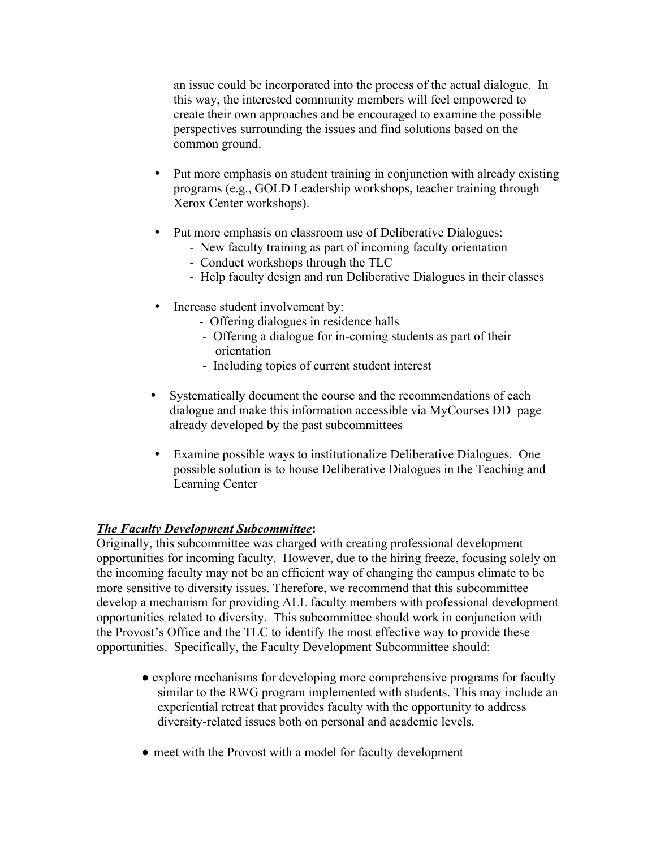an issue could be incorporated into the process of the actual dialogue. In this way, the interested community members will feel empowered to create their own approaches and be encouraged to examine the possible perspectives surrounding the issues and find solutions based on the common ground.

- Put more emphasis on student training in conjunction with already existing programs (e.g., GOLD Leadership workshops, teacher training through Xerox Center workshops).
- Put more emphasis on classroom use of Deliberative Dialogues:
	- New faculty training as part of incoming faculty orientation
	- Conduct workshops through the TLC
	- Help faculty design and run Deliberative Dialogues in their classes
- Increase student involvement by:
	- Offering dialogues in residence halls
	- Offering a dialogue for in-coming students as part of their orientation
	- Including topics of current student interest
- Systematically document the course and the recommendations of each dialogue and make this information accessible via MyCourses DD page already developed by the past subcommittees
- Examine possible ways to institutionalize Deliberative Dialogues. One possible solution is to house Deliberative Dialogues in the Teaching and Learning Center

#### *The Faculty Development Subcommittee***:**

Originally, this subcommittee was charged with creating professional development opportunities for incoming faculty. However, due to the hiring freeze, focusing solely on the incoming faculty may not be an efficient way of changing the campus climate to be more sensitive to diversity issues. Therefore, we recommend that this subcommittee develop a mechanism for providing ALL faculty members with professional development opportunities related to diversity. This subcommittee should work in conjunction with the Provost's Office and the TLC to identify the most effective way to provide these opportunities. Specifically, the Faculty Development Subcommittee should:

- explore mechanisms for developing more comprehensive programs for faculty similar to the RWG program implemented with students. This may include an experiential retreat that provides faculty with the opportunity to address diversity-related issues both on personal and academic levels.
- meet with the Provost with a model for faculty development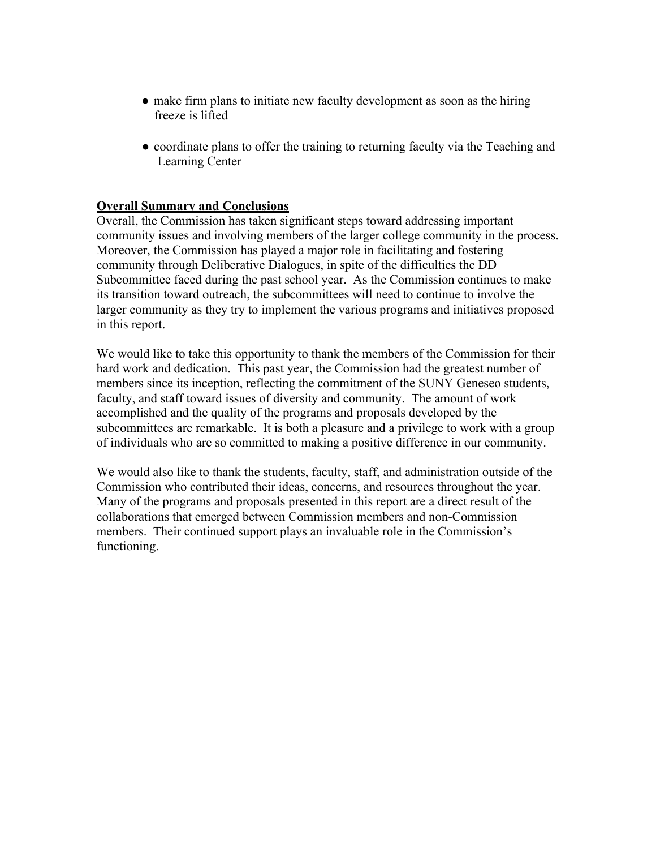- make firm plans to initiate new faculty development as soon as the hiring freeze is lifted
- coordinate plans to offer the training to returning faculty via the Teaching and Learning Center

### **Overall Summary and Conclusions**

Overall, the Commission has taken significant steps toward addressing important community issues and involving members of the larger college community in the process. Moreover, the Commission has played a major role in facilitating and fostering community through Deliberative Dialogues, in spite of the difficulties the DD Subcommittee faced during the past school year. As the Commission continues to make its transition toward outreach, the subcommittees will need to continue to involve the larger community as they try to implement the various programs and initiatives proposed in this report.

We would like to take this opportunity to thank the members of the Commission for their hard work and dedication. This past year, the Commission had the greatest number of members since its inception, reflecting the commitment of the SUNY Geneseo students, faculty, and staff toward issues of diversity and community. The amount of work accomplished and the quality of the programs and proposals developed by the subcommittees are remarkable. It is both a pleasure and a privilege to work with a group of individuals who are so committed to making a positive difference in our community.

We would also like to thank the students, faculty, staff, and administration outside of the Commission who contributed their ideas, concerns, and resources throughout the year. Many of the programs and proposals presented in this report are a direct result of the collaborations that emerged between Commission members and non-Commission members. Their continued support plays an invaluable role in the Commission's functioning.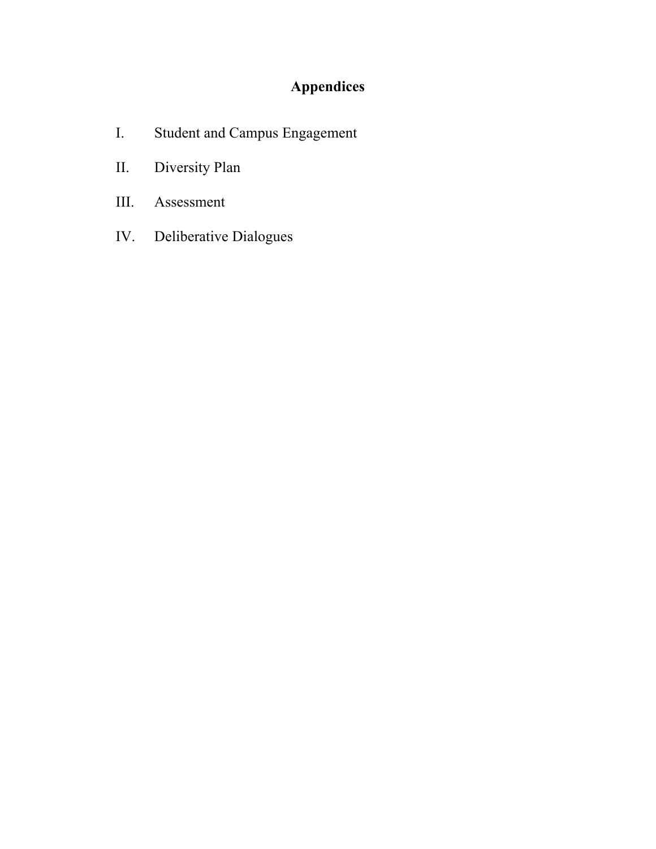# **Appendices**

- I. Student and Campus Engagement
- II. Diversity Plan
- III. Assessment
- IV. Deliberative Dialogues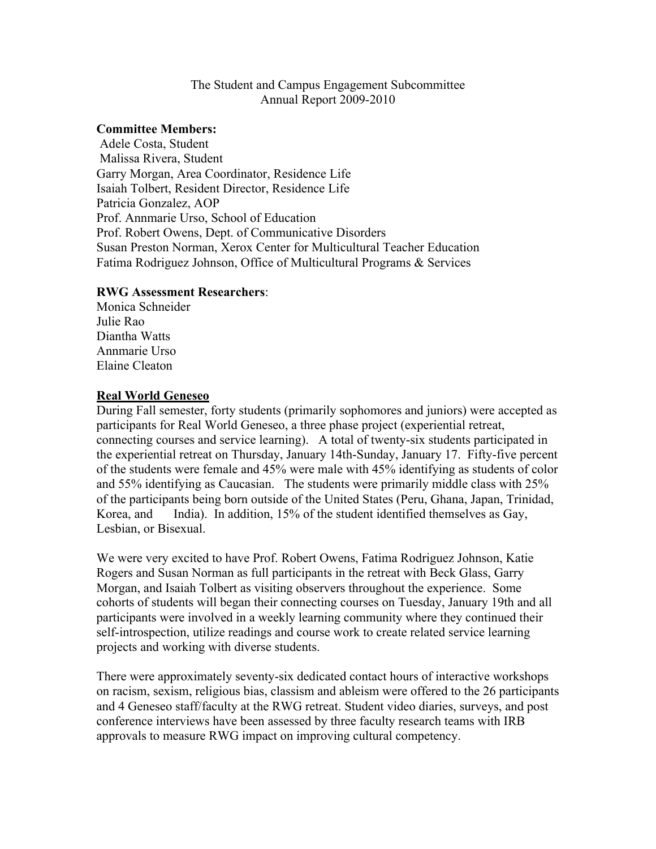### The Student and Campus Engagement Subcommittee Annual Report 2009-2010

#### **Committee Members:**

 Adele Costa, Student Malissa Rivera, Student Garry Morgan, Area Coordinator, Residence Life Isaiah Tolbert, Resident Director, Residence Life Patricia Gonzalez, AOP Prof. Annmarie Urso, School of Education Prof. Robert Owens, Dept. of Communicative Disorders Susan Preston Norman, Xerox Center for Multicultural Teacher Education Fatima Rodriguez Johnson, Office of Multicultural Programs & Services

### **RWG Assessment Researchers**:

Monica Schneider Julie Rao Diantha Watts Annmarie Urso Elaine Cleaton

### **Real World Geneseo**

During Fall semester, forty students (primarily sophomores and juniors) were accepted as participants for Real World Geneseo, a three phase project (experiential retreat, connecting courses and service learning). A total of twenty-six students participated in the experiential retreat on Thursday, January 14th-Sunday, January 17. Fifty-five percent of the students were female and 45% were male with 45% identifying as students of color and 55% identifying as Caucasian. The students were primarily middle class with 25% of the participants being born outside of the United States (Peru, Ghana, Japan, Trinidad, Korea, and India). In addition, 15% of the student identified themselves as Gay, Lesbian, or Bisexual.

We were very excited to have Prof. Robert Owens, Fatima Rodriguez Johnson, Katie Rogers and Susan Norman as full participants in the retreat with Beck Glass, Garry Morgan, and Isaiah Tolbert as visiting observers throughout the experience. Some cohorts of students will began their connecting courses on Tuesday, January 19th and all participants were involved in a weekly learning community where they continued their self-introspection, utilize readings and course work to create related service learning projects and working with diverse students.

There were approximately seventy-six dedicated contact hours of interactive workshops on racism, sexism, religious bias, classism and ableism were offered to the 26 participants and 4 Geneseo staff/faculty at the RWG retreat. Student video diaries, surveys, and post conference interviews have been assessed by three faculty research teams with IRB approvals to measure RWG impact on improving cultural competency.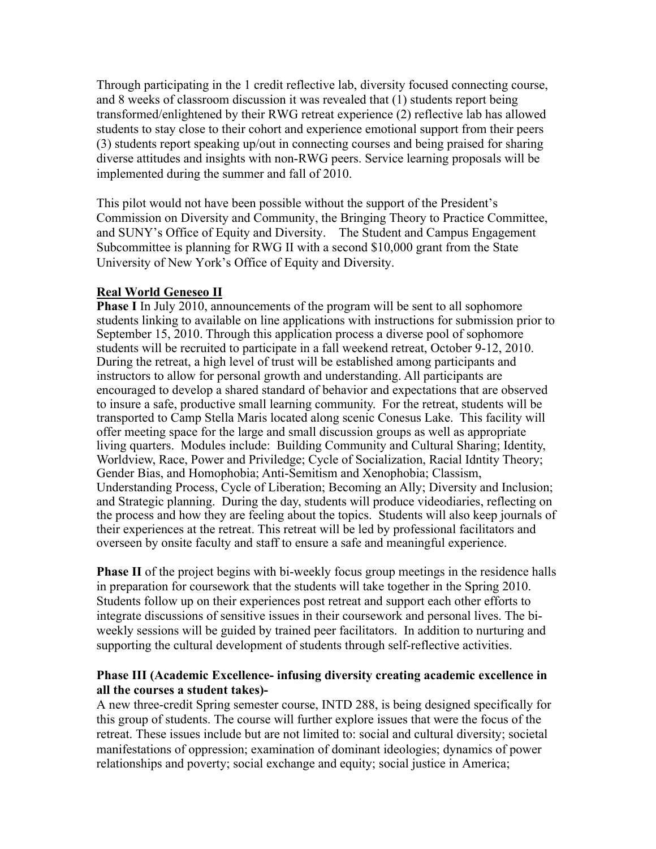Through participating in the 1 credit reflective lab, diversity focused connecting course, and 8 weeks of classroom discussion it was revealed that (1) students report being transformed/enlightened by their RWG retreat experience (2) reflective lab has allowed students to stay close to their cohort and experience emotional support from their peers (3) students report speaking up/out in connecting courses and being praised for sharing diverse attitudes and insights with non-RWG peers. Service learning proposals will be implemented during the summer and fall of 2010.

This pilot would not have been possible without the support of the President's Commission on Diversity and Community, the Bringing Theory to Practice Committee, and SUNY's Office of Equity and Diversity. The Student and Campus Engagement Subcommittee is planning for RWG II with a second \$10,000 grant from the State University of New York's Office of Equity and Diversity.

### **Real World Geneseo II**

**Phase I** In July 2010, announcements of the program will be sent to all sophomore students linking to available on line applications with instructions for submission prior to September 15, 2010. Through this application process a diverse pool of sophomore students will be recruited to participate in a fall weekend retreat, October 9-12, 2010. During the retreat, a high level of trust will be established among participants and instructors to allow for personal growth and understanding. All participants are encouraged to develop a shared standard of behavior and expectations that are observed to insure a safe, productive small learning community. For the retreat, students will be transported to Camp Stella Maris located along scenic Conesus Lake. This facility will offer meeting space for the large and small discussion groups as well as appropriate living quarters. Modules include: Building Community and Cultural Sharing; Identity, Worldview, Race, Power and Priviledge; Cycle of Socialization, Racial Idntity Theory; Gender Bias, and Homophobia; Anti-Semitism and Xenophobia; Classism, Understanding Process, Cycle of Liberation; Becoming an Ally; Diversity and Inclusion; and Strategic planning. During the day, students will produce videodiaries, reflecting on the process and how they are feeling about the topics. Students will also keep journals of their experiences at the retreat. This retreat will be led by professional facilitators and overseen by onsite faculty and staff to ensure a safe and meaningful experience.

**Phase II** of the project begins with bi-weekly focus group meetings in the residence halls in preparation for coursework that the students will take together in the Spring 2010. Students follow up on their experiences post retreat and support each other efforts to integrate discussions of sensitive issues in their coursework and personal lives. The biweekly sessions will be guided by trained peer facilitators. In addition to nurturing and supporting the cultural development of students through self-reflective activities.

#### **Phase III (Academic Excellence- infusing diversity creating academic excellence in all the courses a student takes)-**

A new three-credit Spring semester course, INTD 288, is being designed specifically for this group of students. The course will further explore issues that were the focus of the retreat. These issues include but are not limited to: social and cultural diversity; societal manifestations of oppression; examination of dominant ideologies; dynamics of power relationships and poverty; social exchange and equity; social justice in America;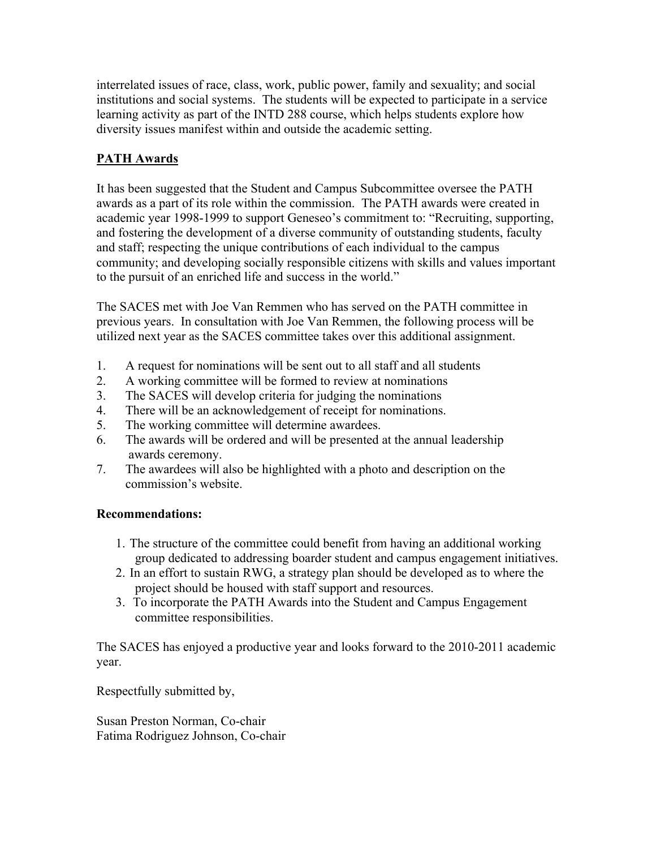interrelated issues of race, class, work, public power, family and sexuality; and social institutions and social systems. The students will be expected to participate in a service learning activity as part of the INTD 288 course, which helps students explore how diversity issues manifest within and outside the academic setting.

# **PATH Awards**

It has been suggested that the Student and Campus Subcommittee oversee the PATH awards as a part of its role within the commission. The PATH awards were created in academic year 1998-1999 to support Geneseo's commitment to: "Recruiting, supporting, and fostering the development of a diverse community of outstanding students, faculty and staff; respecting the unique contributions of each individual to the campus community; and developing socially responsible citizens with skills and values important to the pursuit of an enriched life and success in the world."

The SACES met with Joe Van Remmen who has served on the PATH committee in previous years. In consultation with Joe Van Remmen, the following process will be utilized next year as the SACES committee takes over this additional assignment.

- 1. A request for nominations will be sent out to all staff and all students
- 2. A working committee will be formed to review at nominations
- 3. The SACES will develop criteria for judging the nominations
- 4. There will be an acknowledgement of receipt for nominations.
- 5. The working committee will determine awardees.
- 6. The awards will be ordered and will be presented at the annual leadership awards ceremony.
- 7. The awardees will also be highlighted with a photo and description on the commission's website.

# **Recommendations:**

- 1. The structure of the committee could benefit from having an additional working group dedicated to addressing boarder student and campus engagement initiatives.
- 2. In an effort to sustain RWG, a strategy plan should be developed as to where the project should be housed with staff support and resources.
- 3. To incorporate the PATH Awards into the Student and Campus Engagement committee responsibilities.

The SACES has enjoyed a productive year and looks forward to the 2010-2011 academic year.

Respectfully submitted by,

Susan Preston Norman, Co-chair Fatima Rodriguez Johnson, Co-chair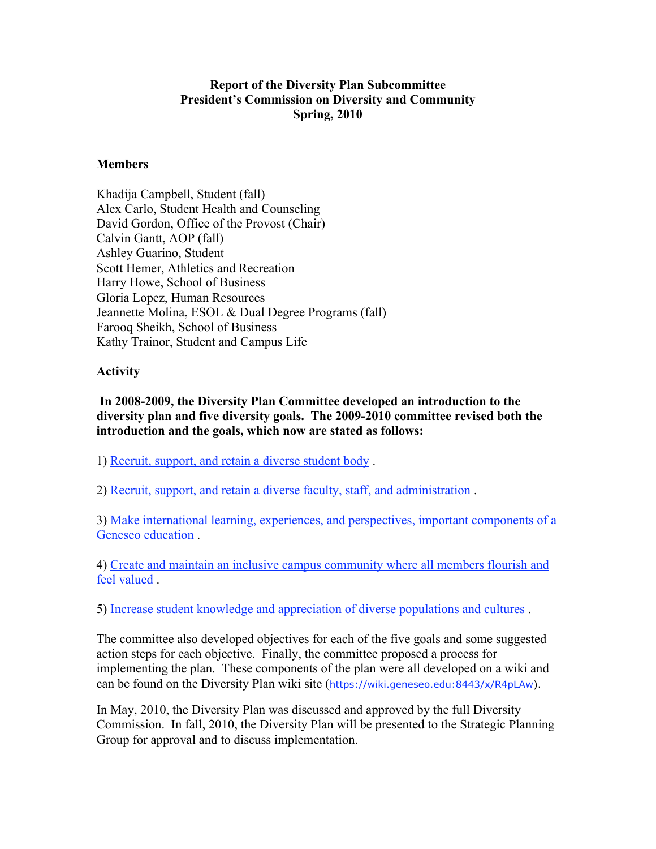# **Report of the Diversity Plan Subcommittee President's Commission on Diversity and Community Spring, 2010**

#### **Members**

Khadija Campbell, Student (fall) Alex Carlo, Student Health and Counseling David Gordon, Office of the Provost (Chair) Calvin Gantt, AOP (fall) Ashley Guarino, Student Scott Hemer, Athletics and Recreation Harry Howe, School of Business Gloria Lopez, Human Resources Jeannette Molina, ESOL & Dual Degree Programs (fall) Farooq Sheikh, School of Business Kathy Trainor, Student and Campus Life

#### **Activity**

 **In 2008-2009, the Diversity Plan Committee developed an introduction to the diversity plan and five diversity goals. The 2009-2010 committee revised both the introduction and the goals, which now are stated as follows:**

1) Recruit, support, and retain a diverse student body .

2) Recruit, support, and retain a diverse faculty, staff, and administration .

3) Make international learning, experiences, and perspectives, important components of a Geneseo education .

4) Create and maintain an inclusive campus community where all members flourish and feel valued .

5) Increase student knowledge and appreciation of diverse populations and cultures .

The committee also developed objectives for each of the five goals and some suggested action steps for each objective. Finally, the committee proposed a process for implementing the plan. These components of the plan were all developed on a wiki and can be found on the Diversity Plan wiki site (https://wiki.geneseo.edu:8443/x/R4pLAw).

In May, 2010, the Diversity Plan was discussed and approved by the full Diversity Commission. In fall, 2010, the Diversity Plan will be presented to the Strategic Planning Group for approval and to discuss implementation.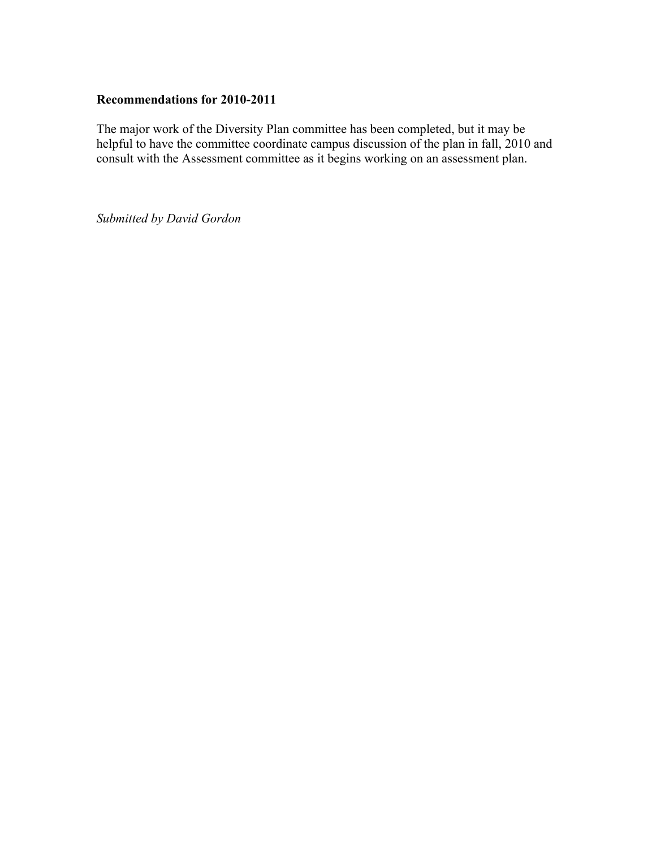#### **Recommendations for 2010-2011**

The major work of the Diversity Plan committee has been completed, but it may be helpful to have the committee coordinate campus discussion of the plan in fall, 2010 and consult with the Assessment committee as it begins working on an assessment plan.

*Submitted by David Gordon*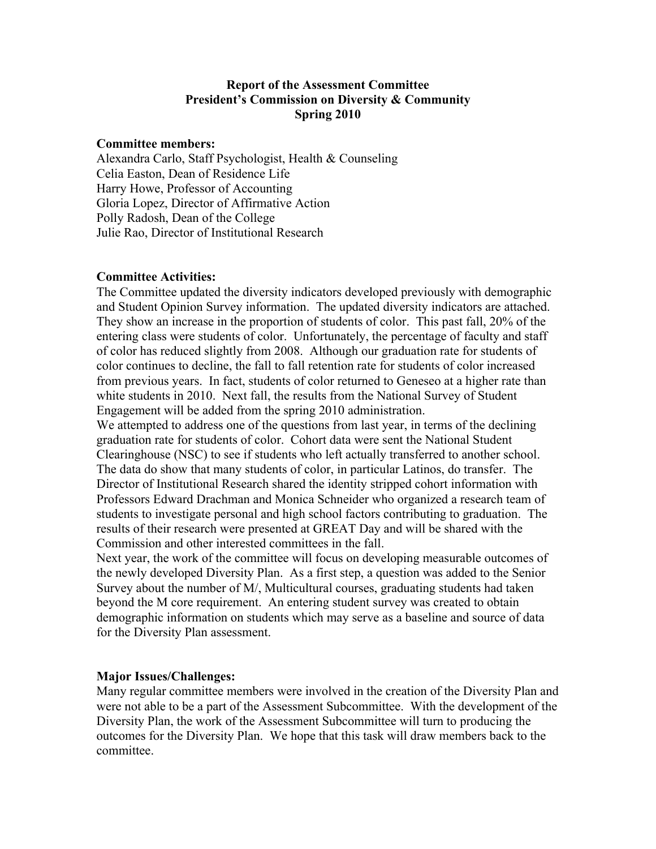## **Report of the Assessment Committee President's Commission on Diversity & Community Spring 2010**

#### **Committee members:**

Alexandra Carlo, Staff Psychologist, Health & Counseling Celia Easton, Dean of Residence Life Harry Howe, Professor of Accounting Gloria Lopez, Director of Affirmative Action Polly Radosh, Dean of the College Julie Rao, Director of Institutional Research

#### **Committee Activities:**

The Committee updated the diversity indicators developed previously with demographic and Student Opinion Survey information. The updated diversity indicators are attached. They show an increase in the proportion of students of color. This past fall, 20% of the entering class were students of color. Unfortunately, the percentage of faculty and staff of color has reduced slightly from 2008. Although our graduation rate for students of color continues to decline, the fall to fall retention rate for students of color increased from previous years. In fact, students of color returned to Geneseo at a higher rate than white students in 2010. Next fall, the results from the National Survey of Student Engagement will be added from the spring 2010 administration.

We attempted to address one of the questions from last year, in terms of the declining graduation rate for students of color. Cohort data were sent the National Student Clearinghouse (NSC) to see if students who left actually transferred to another school. The data do show that many students of color, in particular Latinos, do transfer. The Director of Institutional Research shared the identity stripped cohort information with Professors Edward Drachman and Monica Schneider who organized a research team of students to investigate personal and high school factors contributing to graduation. The results of their research were presented at GREAT Day and will be shared with the Commission and other interested committees in the fall.

Next year, the work of the committee will focus on developing measurable outcomes of the newly developed Diversity Plan. As a first step, a question was added to the Senior Survey about the number of M/, Multicultural courses, graduating students had taken beyond the M core requirement. An entering student survey was created to obtain demographic information on students which may serve as a baseline and source of data for the Diversity Plan assessment.

#### **Major Issues/Challenges:**

Many regular committee members were involved in the creation of the Diversity Plan and were not able to be a part of the Assessment Subcommittee. With the development of the Diversity Plan, the work of the Assessment Subcommittee will turn to producing the outcomes for the Diversity Plan. We hope that this task will draw members back to the committee.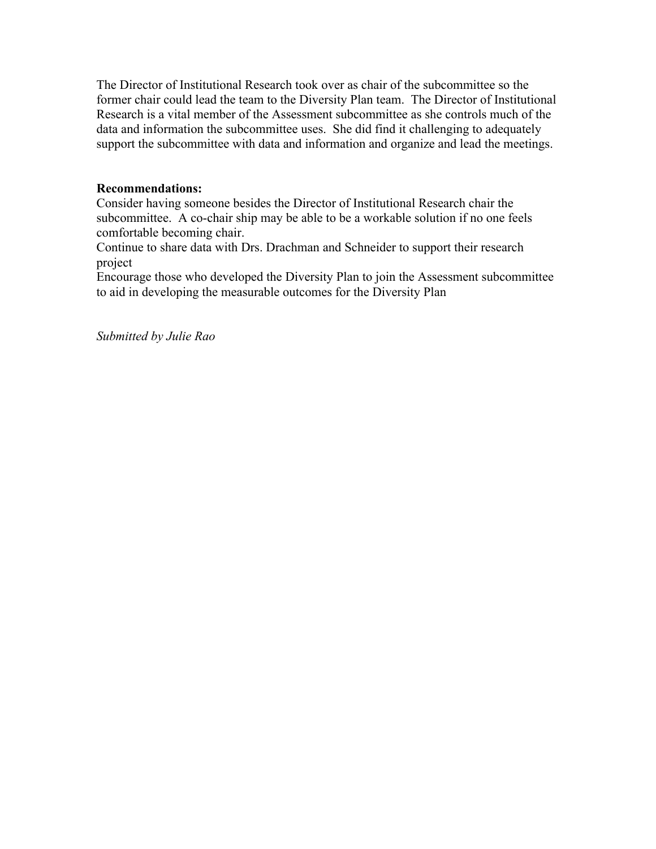The Director of Institutional Research took over as chair of the subcommittee so the former chair could lead the team to the Diversity Plan team. The Director of Institutional Research is a vital member of the Assessment subcommittee as she controls much of the data and information the subcommittee uses. She did find it challenging to adequately support the subcommittee with data and information and organize and lead the meetings.

## **Recommendations:**

Consider having someone besides the Director of Institutional Research chair the subcommittee. A co-chair ship may be able to be a workable solution if no one feels comfortable becoming chair.

Continue to share data with Drs. Drachman and Schneider to support their research project

Encourage those who developed the Diversity Plan to join the Assessment subcommittee to aid in developing the measurable outcomes for the Diversity Plan

*Submitted by Julie Rao*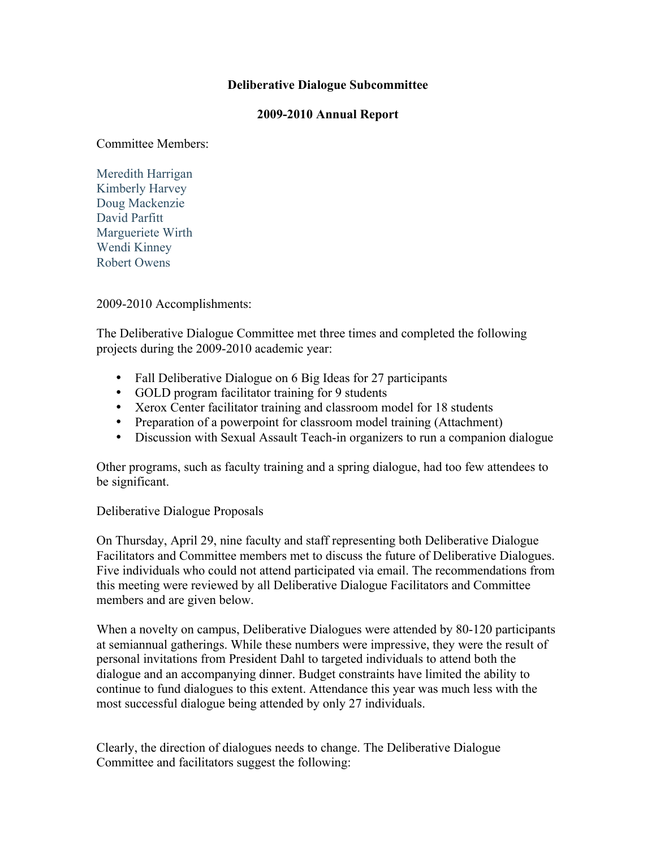### **Deliberative Dialogue Subcommittee**

#### **2009-2010 Annual Report**

Committee Members:

Meredith Harrigan Kimberly Harvey Doug Mackenzie David Parfitt Margueriete Wirth Wendi Kinney Robert Owens

2009-2010 Accomplishments:

The Deliberative Dialogue Committee met three times and completed the following projects during the 2009-2010 academic year:

- Fall Deliberative Dialogue on 6 Big Ideas for 27 participants
- GOLD program facilitator training for 9 students
- Xerox Center facilitator training and classroom model for 18 students
- Preparation of a powerpoint for classroom model training (Attachment)
- Discussion with Sexual Assault Teach-in organizers to run a companion dialogue

Other programs, such as faculty training and a spring dialogue, had too few attendees to be significant.

Deliberative Dialogue Proposals

On Thursday, April 29, nine faculty and staff representing both Deliberative Dialogue Facilitators and Committee members met to discuss the future of Deliberative Dialogues. Five individuals who could not attend participated via email. The recommendations from this meeting were reviewed by all Deliberative Dialogue Facilitators and Committee members and are given below.

When a novelty on campus, Deliberative Dialogues were attended by 80-120 participants at semiannual gatherings. While these numbers were impressive, they were the result of personal invitations from President Dahl to targeted individuals to attend both the dialogue and an accompanying dinner. Budget constraints have limited the ability to continue to fund dialogues to this extent. Attendance this year was much less with the most successful dialogue being attended by only 27 individuals.

Clearly, the direction of dialogues needs to change. The Deliberative Dialogue Committee and facilitators suggest the following: